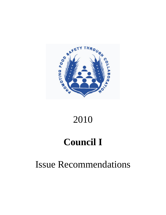

# 2010

# **Council I**

# Issue Recommendations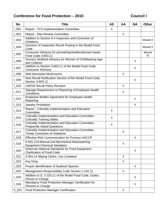## Conference for Food Protection – 2010 **Council I**

| <b>No</b> | <b>Title</b>                                                                                   | <b>AS</b> | AA | <b>NA</b> | <b>Other</b> |
|-----------|------------------------------------------------------------------------------------------------|-----------|----|-----------|--------------|
| $L_{001}$ | <b>Report - TCS Implementation Committee</b>                                                   | X         |    |           |              |
| $L_{002}$ | Report - Plan Review Committee                                                                 |           | X  |           |              |
| $L_{003}$ | Addition to Section 8-4 Inspection and Correction of<br>Violations                             |           |    |           | Moved II     |
| $L_{004}$ | Inclusion of Inspection Result Posting in the Model Food<br>Code                               |           |    |           | Moved II     |
| $L_{005}$ | Consumer Advisory for pinned/injected/tenderized meats:<br>Food Code 3-603.11                  |           |    |           | Moved<br>Ш   |
| 1006      | Grocery Seafood Advisory for Women of Childbearing Age<br>and Children                         |           |    | X         |              |
| $L_{007}$ | Addition to Section 3-603.11 of the Model Food Code,<br><b>Consumer Advisory</b>               |           |    | X         |              |
| $L_{008}$ | <b>Wild Harvested Mushrooms</b>                                                                |           | X  |           |              |
| $L_{009}$ | New Recall Notification Section of the Model Food Code,<br>Section 3-603.12                    |           |    | X         |              |
| $L_{010}$ | <b>USFDA Recall Policy Revision</b>                                                            |           | X  |           |              |
| $L_{011}$ | Signage Requirement on Reporting of Employee Health<br>Conditions                              |           | X  |           |              |
| $L_{012}$ | Employee Written Agreement for Employee Health<br>Reporting                                    |           |    | X         |              |
| $L_{013}$ | Jewelry Prohibition                                                                            |           |    | $\sf X$   |              |
| $L_{014}$ | Report - Criticality Implementation and Education<br>Committee                                 | X         |    |           |              |
| $L_{015}$ | Criticality Implementation and Education Committee -<br><b>Criticality Training Slides</b>     | X         |    |           |              |
| $L_{016}$ | Criticality Implementation and Education Committee -<br><b>Frequently Asked Questions</b>      | X         |    |           |              |
| $L_{017}$ | Criticality Implementation and Education Committee -<br><b>Timely Correction of Violations</b> |           | X  |           |              |
| $L_{018}$ | <b>Effective Risk Communication for Process HACCP</b>                                          |           |    | X         |              |
| $L_{019}$ | 4-501.114-Manual and Mechanical Warewashing<br><b>Equipment Chemical Sanitation</b>            |           | X  |           |              |
| $L_{020}$ | American National Standards for Food Equipment -<br><b>Clarification of Food Code</b>          |           |    | X         |              |
| $L_{021}$ | 3-304.14 Wiping Cloths, Use Limitation                                                         |           | X  |           |              |
| $L_{022}$ | <b>Key Drop</b>                                                                                |           | X  |           |              |
| $L_{023}$ | Proper Identification of Seafood Species                                                       |           |    | X         |              |
| $L_{024}$ | Management Responsibility Code Section 2-101.11                                                |           | X  |           |              |
| $L_{025}$ | Addition to S. 2-103.11 of the Model Food Code, Duties:<br>Person in Charge                    |           |    | X         |              |
| $L_{026}$ | Mandatory Food Protection Manager Certification for<br>Persons in Charge                       |           |    | X         |              |
| $II_021$  | <b>Food Protection Manager Certification</b>                                                   |           | X  |           |              |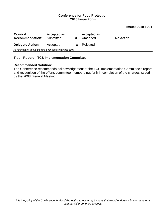#### **Issue: 2010 I-001**

| <b>Council</b><br><b>Recommendation:</b>                   | Accepted as<br>Submitted |   | Accepted as<br>Amended | No Action |  |  |  |  |
|------------------------------------------------------------|--------------------------|---|------------------------|-----------|--|--|--|--|
| <b>Delegate Action:</b>                                    | Accepted                 | X | Rejected               |           |  |  |  |  |
| All information above the line is for conference use only. |                          |   |                        |           |  |  |  |  |

## **Title: Report – TCS Implementation Committee**

## **Recommended Solution:**

The Conference recommends acknowledgement of the TCS Implementation Committee's report and recognition of the efforts committee members put forth in completion of the charges issued by the 2008 Biennial Meeting.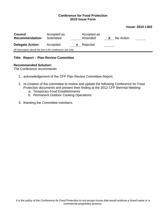#### **Issue: 2010 I-002**

| <b>Council</b><br><b>Recommendation:</b>                   | Accepted as<br>Submitted |          | Accepted as<br>Amended | X | No Action |  |  |  |
|------------------------------------------------------------|--------------------------|----------|------------------------|---|-----------|--|--|--|
| <b>Delegate Action:</b>                                    | Accepted                 | <b>X</b> | Rejected               |   |           |  |  |  |
| All information above the line is for conference use only. |                          |          |                        |   |           |  |  |  |

## **Title: Report – Plan Review Committee**

#### **Recommended Solution:**

The Conference recommends

- 1. acknowledgement of the CFP Plan Review Committee Report;
- 2. re-creation of the committee to review and update the following Conference for Food Protection documents and present their finding at the 2012 CFP Biennial Meeting:
	- a. Temporary Food Establishments
	- b. Permanent Outdoor Cooking Operations
- 3. thanking the Committee members.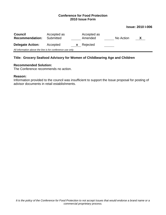#### **Issue: 2010 I-006**

| <b>Council</b><br><b>Recommendation:</b>                   | Accepted as<br>Submitted |    | Accepted as<br>Amended |  | No Action | X |  |  |
|------------------------------------------------------------|--------------------------|----|------------------------|--|-----------|---|--|--|
| <b>Delegate Action:</b>                                    | Accepted                 | X. | Rejected               |  |           |   |  |  |
| All information above the line is for conference use only. |                          |    |                        |  |           |   |  |  |

## **Title: Grocery Seafood Advisory for Women of Childbearing Age and Children**

#### **Recommended Solution:**

The Conference recommends no action.

#### **Reason:**

Information provided to the council was insufficient to support the Issue proposal for posting of advisor documents in retail establishments.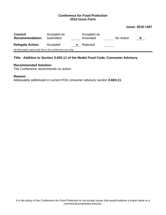#### **Issue: 2010 I-007**

| <b>Council</b><br><b>Recommendation:</b>                   | Accepted as<br>Submitted |   | Accepted as<br>Amended |  | No Action |  |  |  |
|------------------------------------------------------------|--------------------------|---|------------------------|--|-----------|--|--|--|
| <b>Delegate Action:</b>                                    | Accepted                 | X | Rejected               |  |           |  |  |  |
| All information above the line is for conference use only. |                          |   |                        |  |           |  |  |  |

## **Title: Addition to Section 3-603.11 of the Model Food Code, Consumer Advisory**

#### **Recommended Solution:**

The Conference recommends no action.

## **Reason:**

Adequately addressed in current FDA consumer advisory section **3-603.11**.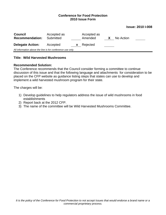#### **Issue: 2010 I-008**

| <b>Council</b><br><b>Recommendation:</b>                   | Accepted as<br>Submitted |   | Accepted as<br>Amended | $\mathbf{x}$ | No Action |  |  |  |
|------------------------------------------------------------|--------------------------|---|------------------------|--------------|-----------|--|--|--|
| <b>Delegate Action:</b>                                    | Accepted                 | X | Rejected               |              |           |  |  |  |
| All information above the line is for conference use only. |                          |   |                        |              |           |  |  |  |

#### **Title: Wild Harvested Mushrooms**

#### **Recommended Solution:**

The Conference recommends that the Council consider forming a committee to continue discussion of this issue and that the following language and attachments for consideration to be placed on the CFP website as guidance listing steps that states can use to develop and implement a wild harvested mushroom program for their state.

The charges will be:

- 1) Develop guidelines to help regulators address the issue of wild mushrooms in food establishments
- 2) Report back at the 2012 CFP.
- 3) The name of the committee will be Wild Harvested Mushrooms Committee.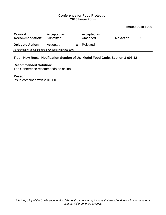#### **Issue: 2010 I-009**

| <b>Council</b><br><b>Recommendation:</b>                   | Accepted as<br>Submitted |          | Accepted as<br>Amended |  | No Action | X |  |
|------------------------------------------------------------|--------------------------|----------|------------------------|--|-----------|---|--|
| <b>Delegate Action:</b>                                    | Accepted                 | <b>X</b> | Rejected               |  |           |   |  |
| All information above the line is for conference use only. |                          |          |                        |  |           |   |  |

## **Title: New Recall Notification Section of the Model Food Code, Section 3-603.12**

#### **Recommended Solution:**

The Conference recommends no action.

#### **Reason:**

Issue combined with 2010 I-010.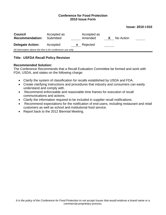#### **Issue: 2010 I-010**

| <b>Council</b><br><b>Recommendation:</b>                   | Accepted as<br>Submitted |              | Accepted as<br>Amended | X | No Action |  |  |  |
|------------------------------------------------------------|--------------------------|--------------|------------------------|---|-----------|--|--|--|
| <b>Delegate Action:</b>                                    | Accepted                 | $\mathbf{X}$ | Rejected               |   |           |  |  |  |
| All information above the line is for conference use only. |                          |              |                        |   |           |  |  |  |

## **Title: USFDA Recall Policy Revision**

#### **Recommended Solution:**

The Conference Recommends that a Recall Evaluation Committee be formed and work with FDA, USDA, and states on the following charge:

- Clarify the system of classification for recalls established by USDA and FDA.
- Create clarifying instructions and procedures that industry and consumers can easily understand and comply with.
- Recommend enforceable and reasonable time frames for execution of recall communications and actions.
- Clarify the information required to be included in supplier recall notifications.
- Recommend expectations for the notification of end-users, including restaurant and retail customers as well as school and institutional food service.
- Report back to the 2012 Biennial Meeting.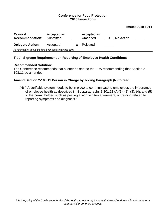#### **Issue: 2010 I-011**

| <b>Council</b><br><b>Recommendation:</b>                   | Accepted as<br>Submitted |              | Accepted as<br>Amended | X | No Action |  |
|------------------------------------------------------------|--------------------------|--------------|------------------------|---|-----------|--|
| <b>Delegate Action:</b>                                    | Accepted                 | $\mathbf{X}$ | Rejected               |   |           |  |
| All information above the line is for conference use only. |                          |              |                        |   |           |  |

## **Title: Signage Requirement on Reporting of Employee Health Conditions**

#### **Recommended Solution:**

The Conference recommends that a letter be sent to the FDA recommending that Section 2- 103.11 be amended.

## **Amend Section 2-103.11 Person in Charge by adding Paragraph (N) to read:**

(N) " A verifiable system needs to be in place to communicate to employees the importance of employee health as described in, Subparagraphs 2-201.11 (A)(1), (2), (3), (4), and (5) to the permit holder, such as posting a sign, written agreement, or training related to reporting symptoms and diagnosis."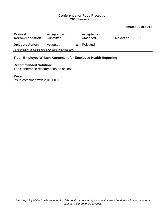#### **Issue: 2010 I-012**

| <b>Council</b><br><b>Recommendation:</b>                   | Accepted as<br>Submitted |    | Accepted as<br>Amended |  | No Action | $\mathbf{X}$ |  |  |
|------------------------------------------------------------|--------------------------|----|------------------------|--|-----------|--------------|--|--|
| <b>Delegate Action:</b>                                    | Accepted                 | X. | Rejected               |  |           |              |  |  |
| All information above the line is for conference use only. |                          |    |                        |  |           |              |  |  |

## **Title: Employee Written Agreement for Employee Health Reporting**

#### **Recommended Solution:**

The Conference recommends no action.

#### **Reason:**

Issue combined with 2010 I-011.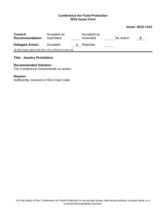## **Issue: 2010 I-013**

| <b>Council</b><br><b>Recommendation:</b>                   | Accepted as<br>Submitted |          | Accepted as<br>Amended | No Action |  |  |  |
|------------------------------------------------------------|--------------------------|----------|------------------------|-----------|--|--|--|
| <b>Delegate Action:</b>                                    | Accepted                 | <b>X</b> | Rejected               |           |  |  |  |
| All information above the line is for conference use only. |                          |          |                        |           |  |  |  |
|                                                            |                          |          |                        |           |  |  |  |

## **Title: Jewelry Prohibition**

## **Recommended Solution:**

The Conference recommends no action.

## **Reason:**

Sufficiently covered in FDA Food Code.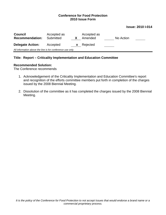#### **Issue: 2010 I-014**

| <b>Council</b><br><b>Recommendation:</b>                   | Accepted as<br>Submitted |              | Accepted as<br>Amended | No Action |  |  |  |
|------------------------------------------------------------|--------------------------|--------------|------------------------|-----------|--|--|--|
| <b>Delegate Action:</b>                                    | Accepted                 | $\mathbf{x}$ | Rejected               |           |  |  |  |
| All information above the line is for conference use only. |                          |              |                        |           |  |  |  |

## **Title: Report – Criticality Implementation and Education Committee**

#### **Recommended Solution:**

The Conference recommends

- 1. Acknowledgement of the Criticality Implementation and Education Committee's report and recognition of the efforts committee members put forth in completion of the charges issued by the 2008 Biennial Meeting.
- 2. Dissolution of the committee as it has completed the charges issued by the 2008 Biennial Meeting.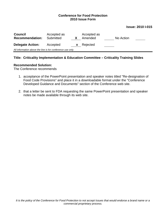#### **Issue: 2010 I-015**

| <b>Council</b><br><b>Recommendation:</b>                   | Accepted as<br>Submitted |    | Accepted as<br>Amended | No Action |  |  |
|------------------------------------------------------------|--------------------------|----|------------------------|-----------|--|--|
| <b>Delegate Action:</b>                                    | Accepted                 | X. | Rejected               |           |  |  |
| All information above the line is for conference use only. |                          |    |                        |           |  |  |

## **Title: Criticality Implementation & Education Committee – Criticality Training Slides**

#### **Recommended Solution:**

The Conference recommends

- 1. acceptance of the PowerPoint presentation and speaker notes titled "Re-designation of Food Code Provisions" and place it in a downloadable format under the "Conference Developed Guidance and Documents" section of the Conference web site.
- 2. that a letter be sent to FDA requesting the same PowerPoint presentation and speaker notes be made available through its web site.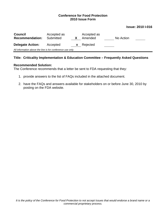#### **Issue: 2010 I-016**

| <b>Council</b><br><b>Recommendation:</b>                   | Accepted as<br>Submitted |    | Accepted as<br>Amended | No Action |  |  |
|------------------------------------------------------------|--------------------------|----|------------------------|-----------|--|--|
| <b>Delegate Action:</b>                                    | Accepted                 | X. | Rejected               |           |  |  |
| All information above the line is for conference use only. |                          |    |                        |           |  |  |

## **Title: Criticality Implementation & Education Committee – Frequently Asked Questions**

#### **Recommended Solution:**

The Conference recommends that a letter be sent to FDA requesting that they:

- 1. provide answers to the list of FAQs included in the attached document.
- 2. have the FAQs and answers available for stakeholders on or before June 30, 2010 by posting on the FDA website.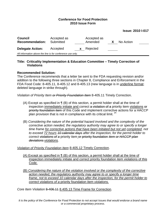**Issue: 2010 I-017** 

| <b>Council</b><br><b>Recommendation:</b>                   | Accepted as<br>Submitted | Accepted as<br>Amended |  | No Action |  |  |  |
|------------------------------------------------------------|--------------------------|------------------------|--|-----------|--|--|--|
| <b>Delegate Action:</b>                                    | Accepted<br><b>X</b>     | Rejected               |  |           |  |  |  |
| All information above the line is for conference use only. |                          |                        |  |           |  |  |  |

## **Title: Criticality Implementation & Education Committee – Timely Correction of Violations**

## **Recommended Solution:**

The Conference recommends that a letter be sent to the FDA requesting revision and/or addition to the following three sections in Chapter 8, Compliance and Enforcement in the FDA Food Code: 8-405.11, 8-405.12 and 8-405.13 (new language is in underline format; deleted language in strike through).

*Violation of Priority Item or Priority Foundation Item* 8-405.11 Timely Correction.

- (A) Except as specified in ¶ (B) of this section, a permit holder shall at the time of inspection immediately initiate and correct a violation of a priority item violations or priority foundation item of this Code and implement corrective actions for a HACCP plan provision that is not in compliance with its critical limit. <sup>Pf</sup>
- (B) *Considering the nature of the potential hazard involved and the complexity of the corrective action needed, the regulatory authority may agree to or specify a longer time frame for corrective actions that have been initiated but not yet completed, not to exceed 72 hours 10 calendar days after the inspection, for the permit holder to correct violations of a* priority item or priority foundation *item or HACCP plan deviations violations.*

## *Violation of Priority Foundation Item* 8-405.12 Timely Correction.

- (A) Except as specified in  $\P$  (B) of this section, a permit holder shall at the time of inspection immediately initiate and correct priority foundation item violations of this Code.
- (B) *Considering the nature of the violation involved or the complexity of the corrective action needed, the regulatory authority may agree to or specify a longer time frame, not to exceed 10 calendar days after the inspection, for the permit holder to correct violations of a* priority foundation item *violations.*

*Core Item Violation* 8-406.11 8.405.13 Time Frame for Correction.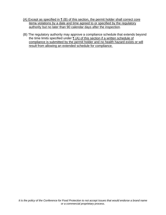- (A) Except as specified in ¶ (B) of this section, the permit holder shall correct core items violations by a date and time agreed to or specified by the regulatory authority but no later than 90 calendar days after the inspection.
- (B) The regulatory authority may approve a compliance schedule that extends beyond the time limits specified under ¶ (A) of this section if a written schedule of compliance is submitted by the permit holder and no health hazard exists or will result from allowing an extended schedule for compliance.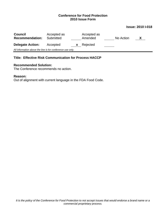#### **Issue: 2010 I-018**

| <b>Council</b><br><b>Recommendation:</b>                   | Accepted as<br>Submitted |   | Accepted as<br>Amended | No Action | X |  |
|------------------------------------------------------------|--------------------------|---|------------------------|-----------|---|--|
| <b>Delegate Action:</b>                                    | Accepted                 | X | Rejected               |           |   |  |
| All information above the line is for conference use only. |                          |   |                        |           |   |  |

## **Title: Effective Risk Communication for Process HACCP**

#### **Recommended Solution:**

The Conference recommends no action.

## **Reason:**

Out of alignment with current language in the FDA Food Code.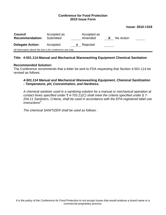#### **Issue: 2010 I-019**

| <b>Council</b><br><b>Recommendation:</b>                   | Accepted as<br>Submitted |   | Accepted as<br>Amended |  | No Action |  |
|------------------------------------------------------------|--------------------------|---|------------------------|--|-----------|--|
| <b>Delegate Action:</b>                                    | Accepted                 | X | Rejected               |  |           |  |
| All information above the line is for conference use only. |                          |   |                        |  |           |  |

## **Title: 4-501.114-Manual and Mechanical Warewashing Equipment Chemical Sanitation**

#### **Recommended Solution:**

The Conference recommends that a letter be sent to FDA requesting that Section 4-501-114 be revised as follows:

## *4-501.114 Manual and Mechanical Warewashing Equipment, Chemical Sanitization - Temperature, pH, Concentration, and Hardness.*

*A chemical sanitizer used in a sanitizing solution for a manual or mechanical operation at contact times specified under ¶ 4-703.11(C) shall meet the criteria specified under § 7- 204.11 Sanitizers, Criteria, shall be used in accordance with the EPA-registered label use instructions<sup>P</sup>* .

*The chemical SANITIZER shall be used as follows :*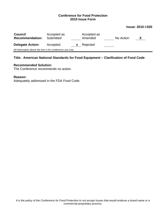#### **Issue: 2010 I-020**

| <b>Council</b><br><b>Recommendation:</b>                   | Accepted as<br>Submitted |   | Accepted as<br>Amended |  | No Action |  |  |
|------------------------------------------------------------|--------------------------|---|------------------------|--|-----------|--|--|
| <b>Delegate Action:</b>                                    | Accepted                 | X | Rejected               |  |           |  |  |
| All information above the line is for conference use only. |                          |   |                        |  |           |  |  |

## **Title: American National Standards for Food Equipment – Clarification of Food Code**

#### **Recommended Solution:**

The Conference recommends no action.

#### **Reason:**

Adequately addressed in the FDA Food Code.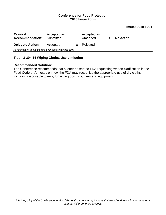#### **Issue: 2010 I-021**

| <b>Council</b><br><b>Recommendation:</b>                   | Accepted as<br>Submitted |              | Accepted as<br>Amended |  | No Action |  |
|------------------------------------------------------------|--------------------------|--------------|------------------------|--|-----------|--|
| <b>Delegate Action:</b>                                    | Accepted                 | $\mathbf{x}$ | Rejected               |  |           |  |
| All information above the line is for conference use only. |                          |              |                        |  |           |  |

## **Title: 3-304.14 Wiping Cloths, Use Limitation**

#### **Recommended Solution:**

The Conference recommends that a letter be sent to FDA requesting written clarification in the Food Code or Annexes on how the FDA may recognize the appropriate use of dry cloths, including disposable towels, for wiping down counters and equipment.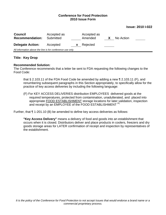#### **Issue: 2010 I-022**

| <b>Council</b><br><b>Recommendation:</b>                   | Accepted as<br>Submitted | Accepted as<br>Amended | X. | No Action |  |  |  |
|------------------------------------------------------------|--------------------------|------------------------|----|-----------|--|--|--|
| <b>Delegate Action:</b>                                    | Accepted<br>$\mathbf{x}$ | Rejected               |    |           |  |  |  |
| All information above the line is for conference use only. |                          |                        |    |           |  |  |  |

## **Title: Key Drop**

#### **Recommended Solution:**

The Conference recommends that a letter be sent to FDA requesting the following changes to the Food Code:

that § 2.103.11 of the FDA Food Code be amended by adding a new ¶ 2.103.11 (F), and renumbering subsequent paragraphs in this Section appropriately, to specifically allow for the practice of key access deliveries by including the following language:

(F) For KEY ACCESS DELIVERIES distribution EMPLOYEES delivered goods at the required temperatures, protected from contamination, unadulterated, and placed into appropriate FOOD ESTABLISHMENT storage locations for later validation, inspection and receipt by an EMPLOYEE of the FOOD ESTABLISHMENT Pf;

Further, that ¶ 1-201.10 (B) be amended to define key access deliveries as follows:

**"Key Access Delivery"** means a delivery of food and goods into an establishment that occurs when it is closed. Distributors deliver and place products in coolers, freezers and dry goods storage areas for LATER confirmation of receipt and inspection by representatives of the establishment.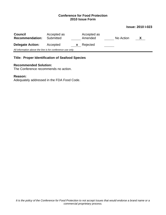#### **Issue: 2010 I-023**

| <b>Council</b><br><b>Recommendation:</b>                   | Accepted as<br>Submitted |    | Accepted as<br>Amended | No Action | X |  |
|------------------------------------------------------------|--------------------------|----|------------------------|-----------|---|--|
| <b>Delegate Action:</b>                                    | Accepted                 | X. | Rejected               |           |   |  |
| All information above the line is for conference use only. |                          |    |                        |           |   |  |

## **Title: Proper Identification of Seafood Species**

#### **Recommended Solution:**

The Conference recommends no action.

#### **Reason:**

Adequately addressed in the FDA Food Code.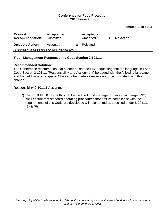#### **Issue: 2010 I-024**

| <b>Council</b><br><b>Recommendation:</b>                   | Accepted as<br>Submitted |    | Accepted as<br>Amended |  | No Action |  |
|------------------------------------------------------------|--------------------------|----|------------------------|--|-----------|--|
| <b>Delegate Action:</b>                                    | Accepted                 | X. | Rejected               |  |           |  |
| All information above the line is for conference use only. |                          |    |                        |  |           |  |

## **Title: Management Responsibility Code Section 2-101.11**

#### **Recommended Solution:**

The Conference recommends that a letter be sent to FDA requesting that the language in Food Code Section 2-101.11 (Responsibility and Assignment) be added with the following language and that additional changes to Chapter 2 be made as necessary to be consistent with this change.

Responsibility 2-101.11 Assignment\*

(C) The PERMIT HOLDER through the certified food manager or person in charge (PIC) shall ensure that standard operating procedures that ensure compliance with the requirements of this Code are developed & implemented as specified under 8-201.12 (E) & (F);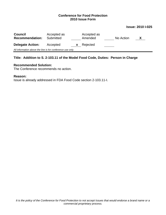#### **Issue: 2010 I-025**

| <b>Council</b><br><b>Recommendation:</b>                   | Accepted as<br>Submitted |    | Accepted as<br>Amended |  | No Action | X |  |
|------------------------------------------------------------|--------------------------|----|------------------------|--|-----------|---|--|
| <b>Delegate Action:</b>                                    | Accepted                 | X. | Rejected               |  |           |   |  |
| All information above the line is for conference use only. |                          |    |                        |  |           |   |  |

## **Title: Addition to S. 2-103.11 of the Model Food Code, Duties: Person in Charge**

## **Recommended Solution:**

The Conference recommends no action.

#### **Reason:**

Issue is already addressed in FDA Food Code section 2-103.11-I.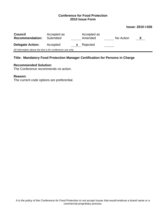#### **Issue: 2010 I-026**

| <b>Council</b><br><b>Recommendation:</b>                   | Accepted as<br>Submitted |   | Accepted as<br>Amended |  | No Action |  |  |
|------------------------------------------------------------|--------------------------|---|------------------------|--|-----------|--|--|
| <b>Delegate Action:</b>                                    | Accepted                 | X | Rejected               |  |           |  |  |
| All information above the line is for conference use only. |                          |   |                        |  |           |  |  |

## **Title: Mandatory Food Protection Manager Certification for Persons in Charge**

#### **Recommended Solution:**

The Conference recommends no action.

## **Reason:**

The current code options are preferential.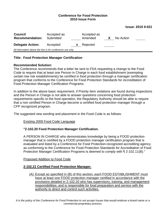| <b>Issue: 2010 II-021</b> |  |  |
|---------------------------|--|--|
|---------------------------|--|--|

| <b>Council</b><br><b>Recommendation:</b>                   | Accepted as<br>Submitted |    | Accepted as<br>Amended | X | No Action |  |  |  |
|------------------------------------------------------------|--------------------------|----|------------------------|---|-----------|--|--|--|
| <b>Delegate Action:</b>                                    | Accepted                 | X. | Rejected               |   |           |  |  |  |
| All information above the line is for conference use only. |                          |    |                        |   |           |  |  |  |

## **Title: Food Protection Manager Certification**

## **Recommended Solution:**

The Conference recommends that a letter be sent to FDA requesting a change to the Food Code to require that at least one Person in Charge in each food establishment (exempting certain low risk establishments) be certified in food protection through a manager certification program that conforms to the Conference for Food Protection Standards for Accreditation of Food Protection Manager Certification Programs.

In addition to the above basic requirement, if Priority Item violations are found during inspections and the Person in Charge is not able to answer questions concerning food protection requirements specific to the food operation, the Regulatory Authority should be able to require that a non certified Person in Charge become a certified food protection manager through a CFP recognized program.

The suggested new wording and placement in the Food Code is as follows:

## Existing 2009 Food Code Language

## **"2-102.20 Food Protection Manager Certification.**

A PERSON IN CHARGE who demonstrates knowledge by being a FOOD protection manager that is certified by a FOOD protection manager certification program that is evaluated and listed by a Conference for Food Protection-recognized accrediting agency as conforming to the Conference for Food Protection Standards for Accreditation of Food Protection Manager Certification Programs is deemed to comply with ¶ 2-102.11(B)."

## Proposed Addition to Food Code

## **2-102.21 Certified Food Protection Manager.**

(A) Except as specified in (B) of this section, each FOOD ESTABLISHMENT must have at least one FOOD protection manager certified in accordance with the provisions detailed in 2-102.20 who has supervisory, training, and management responsibilities; and is responsible for food preparation and service with the authority to direct and control such activities.